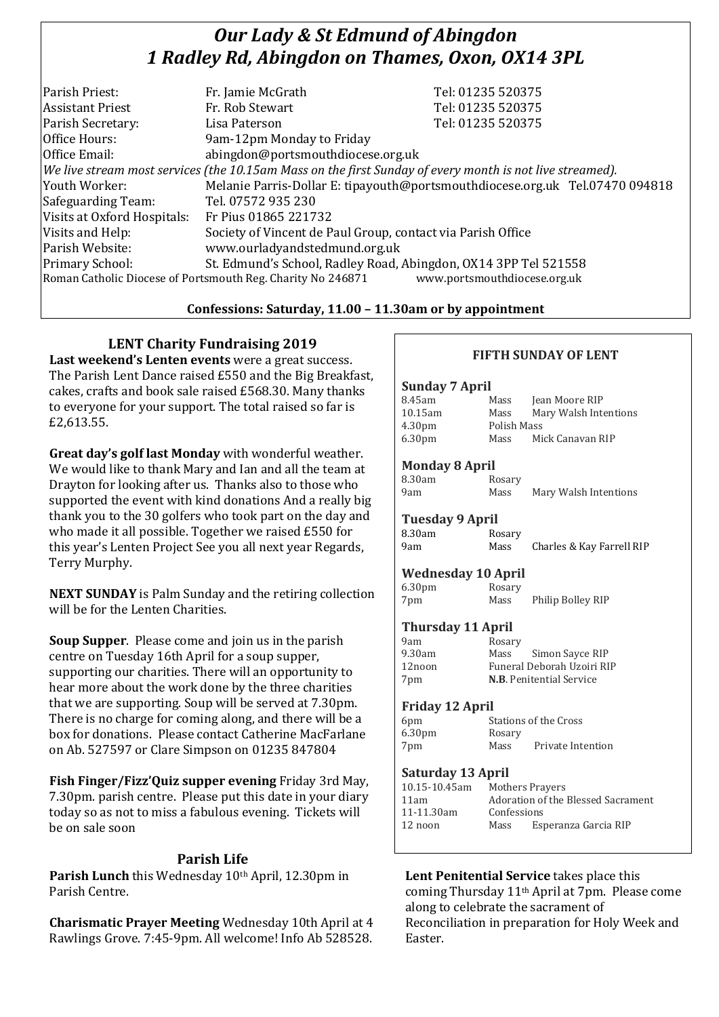# *Our Lady & St Edmund of Abingdon 1 Radley Rd, Abingdon on Thames, Oxon, OX14 3PL*

| Parish Priest:              | Fr. Jamie McGrath                                                                                        | Tel: 01235 520375                                                            |
|-----------------------------|----------------------------------------------------------------------------------------------------------|------------------------------------------------------------------------------|
| <b>Assistant Priest</b>     | Fr. Rob Stewart                                                                                          | Tel: 01235 520375                                                            |
| Parish Secretary:           | Lisa Paterson                                                                                            | Tel: 01235 520375                                                            |
| Office Hours:               | 9am-12pm Monday to Friday                                                                                |                                                                              |
| Office Email:               | abingdon@portsmouthdiocese.org.uk                                                                        |                                                                              |
|                             | We live stream most services (the 10.15am Mass on the first Sunday of every month is not live streamed). |                                                                              |
| Youth Worker:               |                                                                                                          | Melanie Parris-Dollar E: tipayouth@portsmouthdiocese.org.uk Tel.07470 094818 |
| Safeguarding Team:          | Tel. 07572 935 230                                                                                       |                                                                              |
| Visits at Oxford Hospitals: | Fr Pius 01865 221732                                                                                     |                                                                              |
| Visits and Help:            | Society of Vincent de Paul Group, contact via Parish Office                                              |                                                                              |
| Parish Website:             | www.ourladyandstedmund.org.uk                                                                            |                                                                              |
| Primary School:             | St. Edmund's School, Radley Road, Abingdon, OX14 3PP Tel 521558                                          |                                                                              |
|                             | Roman Catholic Diocese of Portsmouth Reg. Charity No 246871                                              | www.portsmouthdiocese.org.uk                                                 |
|                             |                                                                                                          |                                                                              |

#### **Confessions: Saturday, 11.00 – 11.30am or by appointment**

## **LENT Charity Fundraising 2019**

**Last weekend's Lenten events** were a great success. The Parish Lent Dance raised £550 and the Big Breakfast, cakes, crafts and book sale raised £568.30. Many thanks to everyone for your support. The total raised so far is £2,613.55.

**Great day's golf last Monday** with wonderful weather. We would like to thank Mary and Ian and all the team at Drayton for looking after us. Thanks also to those who supported the event with kind donations And a really big thank you to the 30 golfers who took part on the day and who made it all possible. Together we raised £550 for this year's Lenten Project See you all next year Regards, Terry Murphy.

**NEXT SUNDAY** is Palm Sunday and the retiring collection will be for the Lenten Charities.

**Soup Supper**. Please come and join us in the parish centre on Tuesday 16th April for a soup supper, supporting our charities. There will an opportunity to hear more about the work done by the three charities that we are supporting. Soup will be served at 7.30pm. There is no charge for coming along, and there will be a box for donations. Please contact Catherine MacFarlane on Ab. 527597 or Clare Simpson on 01235 847804

**Fish Finger/Fizz'Quiz supper evening** Friday 3rd May, 7.30pm. parish centre. Please put this date in your diary today so as not to miss a fabulous evening. Tickets will be on sale soon

## **Parish Life**

**Parish Lunch** this Wednesday 10th April, 12.30pm in Parish Centre.

**Charismatic Prayer Meeting** Wednesday 10th April at 4 Rawlings Grove. 7:45-9pm. All welcome! Info Ab 528528.

### **FIFTH SUNDAY OF LENT**

## **Sunday 7 April**

| 8.45am             | Mass        | Jean Moore RIP        |
|--------------------|-------------|-----------------------|
| 10.15am            | Mass        | Mary Walsh Intentions |
| 4.30 <sub>pm</sub> | Polish Mass |                       |
| 6.30 <sub>pm</sub> | Mass        | Mick Canavan RIP      |
|                    |             |                       |

#### **Monday 8 April**

| 8.30am | Rosary |                       |
|--------|--------|-----------------------|
| 9am    | Mass   | Mary Walsh Intentions |

#### **Tuesday 9 April**

| 8.30am |  | Rosary |                           |
|--------|--|--------|---------------------------|
| 9am    |  | Mass   | Charles & Kay Farrell RIP |

#### **Wednesday 10 April**

6.30pm Rosary 7pm Mass Philip Bolley RIP

## **Thursday 11 April**

| 9am    | Rosary |                                 |
|--------|--------|---------------------------------|
| 9.30am | Mass   | Simon Sayce RIP                 |
| 12noon |        | Funeral Deborah Uzoiri RIP      |
| 7pm    |        | <b>N.B.</b> Penitential Service |

#### **Friday 12 April**

| 6 <sub>pm</sub>    | Stations of the Cross |                   |
|--------------------|-----------------------|-------------------|
| 6.30 <sub>pm</sub> | Rosary                |                   |
| 7pm                | Mass                  | Private Intention |

#### **Saturday 13 April**

| 10.15-10.45am |                                    | <b>Mothers Prayers</b> |
|---------------|------------------------------------|------------------------|
| 11am          | Adoration of the Blessed Sacrament |                        |
| 11-11.30am    | Confessions                        |                        |
| 12 noon       | Mass                               | Esperanza Garcia RIP   |
|               |                                    |                        |

## **Lent Penitential Service** takes place this

coming Thursday 11th April at 7pm. Please come along to celebrate the sacrament of Reconciliation in preparation for Holy Week and Easter.